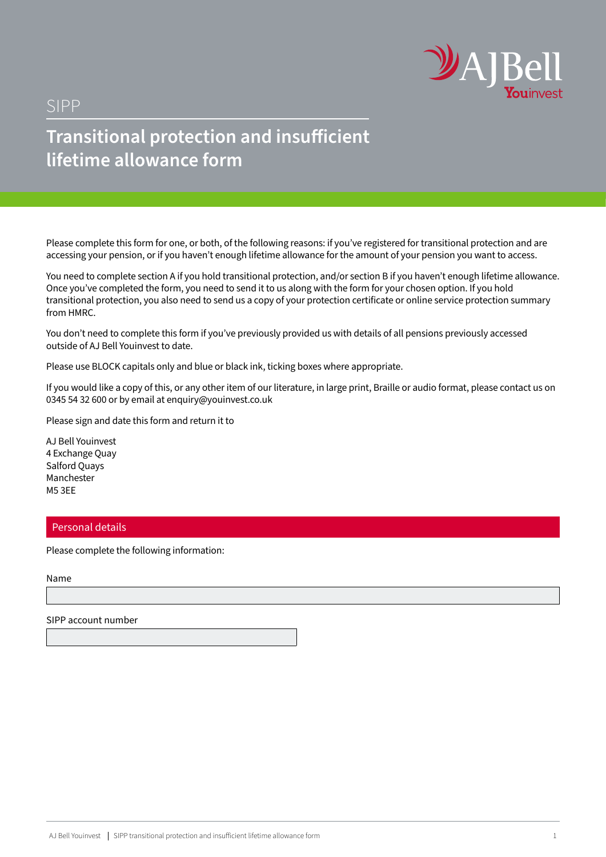

# SIPP

# **Transitional protection and insufficient lifetime allowance form**

Please complete this form for one, or both, of the following reasons: if you've registered for transitional protection and are accessing your pension, or if you haven't enough lifetime allowance for the amount of your pension you want to access.

You need to complete section A if you hold transitional protection, and/or section B if you haven't enough lifetime allowance. Once you've completed the form, you need to send it to us along with the form for your chosen option. If you hold transitional protection, you also need to send us a copy of your protection certificate or online service protection summary from HMRC.

You don't need to complete this form if you've previously provided us with details of all pensions previously accessed outside of AJ Bell Youinvest to date.

Please use BLOCK capitals only and blue or black ink, ticking boxes where appropriate.

If you would like a copy of this, or any other item of our literature, in large print, Braille or audio format, please contact us on 0345 54 32 600 or by email at enquiry@youinvest.co.uk

Please sign and date this form and return it to

AJ Bell Youinvest 4 Exchange Quay Salford Quays Manchester M5 3EE

### Personal details

Please complete the following information:

Name

SIPP account number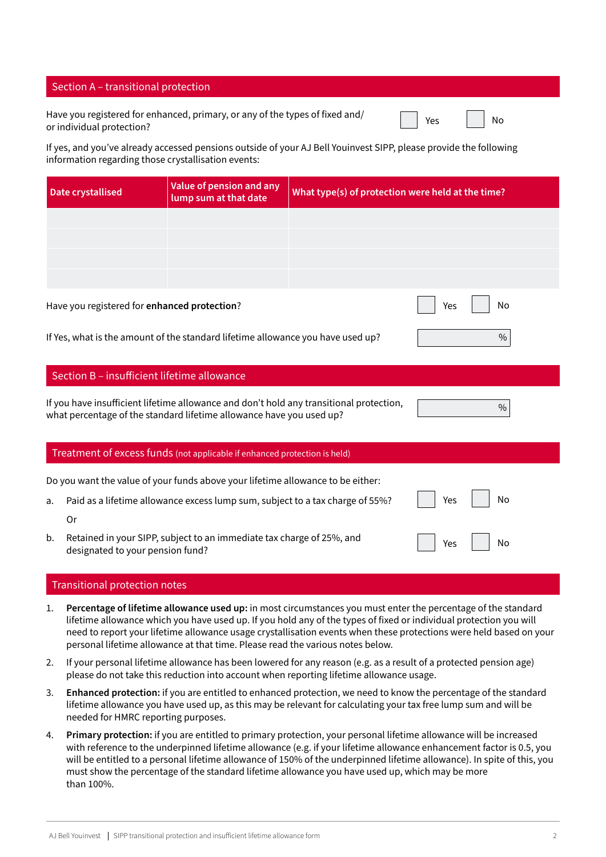# Section A – transitional protection

Have you registered for enhanced, primary, or any of the types of fixed and/ nave you registered for enhanced, primary, or any or the types of fixed and/<br>or individual protection?

If yes, and you've already accessed pensions outside of your AJ Bell Youinvest SIPP, please provide the following information regarding those crystallisation events:

| <b>Date crystallised</b>                                                                                                                                        | Value of pension and any<br>lump sum at that date                               |  | What type(s) of protection were held at the time? |               |  |
|-----------------------------------------------------------------------------------------------------------------------------------------------------------------|---------------------------------------------------------------------------------|--|---------------------------------------------------|---------------|--|
|                                                                                                                                                                 |                                                                                 |  |                                                   |               |  |
|                                                                                                                                                                 |                                                                                 |  |                                                   |               |  |
|                                                                                                                                                                 |                                                                                 |  |                                                   |               |  |
|                                                                                                                                                                 |                                                                                 |  |                                                   |               |  |
| Have you registered for enhanced protection?                                                                                                                    |                                                                                 |  | Yes                                               | No            |  |
|                                                                                                                                                                 | If Yes, what is the amount of the standard lifetime allowance you have used up? |  |                                                   | $\%$          |  |
| Section B - insufficient lifetime allowance                                                                                                                     |                                                                                 |  |                                                   |               |  |
| If you have insufficient lifetime allowance and don't hold any transitional protection,<br>what percentage of the standard lifetime allowance have you used up? |                                                                                 |  |                                                   | $\frac{0}{0}$ |  |
| Treatment of excess funds (not applicable if enhanced protection is held)                                                                                       |                                                                                 |  |                                                   |               |  |
|                                                                                                                                                                 | Do you want the value of your funds above your lifetime allowance to be either: |  |                                                   |               |  |
| a.                                                                                                                                                              | Paid as a lifetime allowance excess lump sum, subject to a tax charge of 55%?   |  | Yes                                               | No            |  |
| 0r                                                                                                                                                              |                                                                                 |  |                                                   |               |  |
| b.<br>designated to your pension fund?                                                                                                                          | Retained in your SIPP, subject to an immediate tax charge of 25%, and           |  | Yes                                               | No            |  |

## Transitional protection notes

- 1. **Percentage of lifetime allowance used up:** in most circumstances you must enter the percentage of the standard lifetime allowance which you have used up. If you hold any of the types of fixed or individual protection you will need to report your lifetime allowance usage crystallisation events when these protections were held based on your personal lifetime allowance at that time. Please read the various notes below.
- 2. If your personal lifetime allowance has been lowered for any reason (e.g. as a result of a protected pension age) please do not take this reduction into account when reporting lifetime allowance usage.
- 3. **Enhanced protection:** if you are entitled to enhanced protection, we need to know the percentage of the standard lifetime allowance you have used up, as this may be relevant for calculating your tax free lump sum and will be needed for HMRC reporting purposes.
- 4. **Primary protection:** if you are entitled to primary protection, your personal lifetime allowance will be increased with reference to the underpinned lifetime allowance (e.g. if your lifetime allowance enhancement factor is 0.5, you will be entitled to a personal lifetime allowance of 150% of the underpinned lifetime allowance). In spite of this, you must show the percentage of the standard lifetime allowance you have used up, which may be more than 100%.